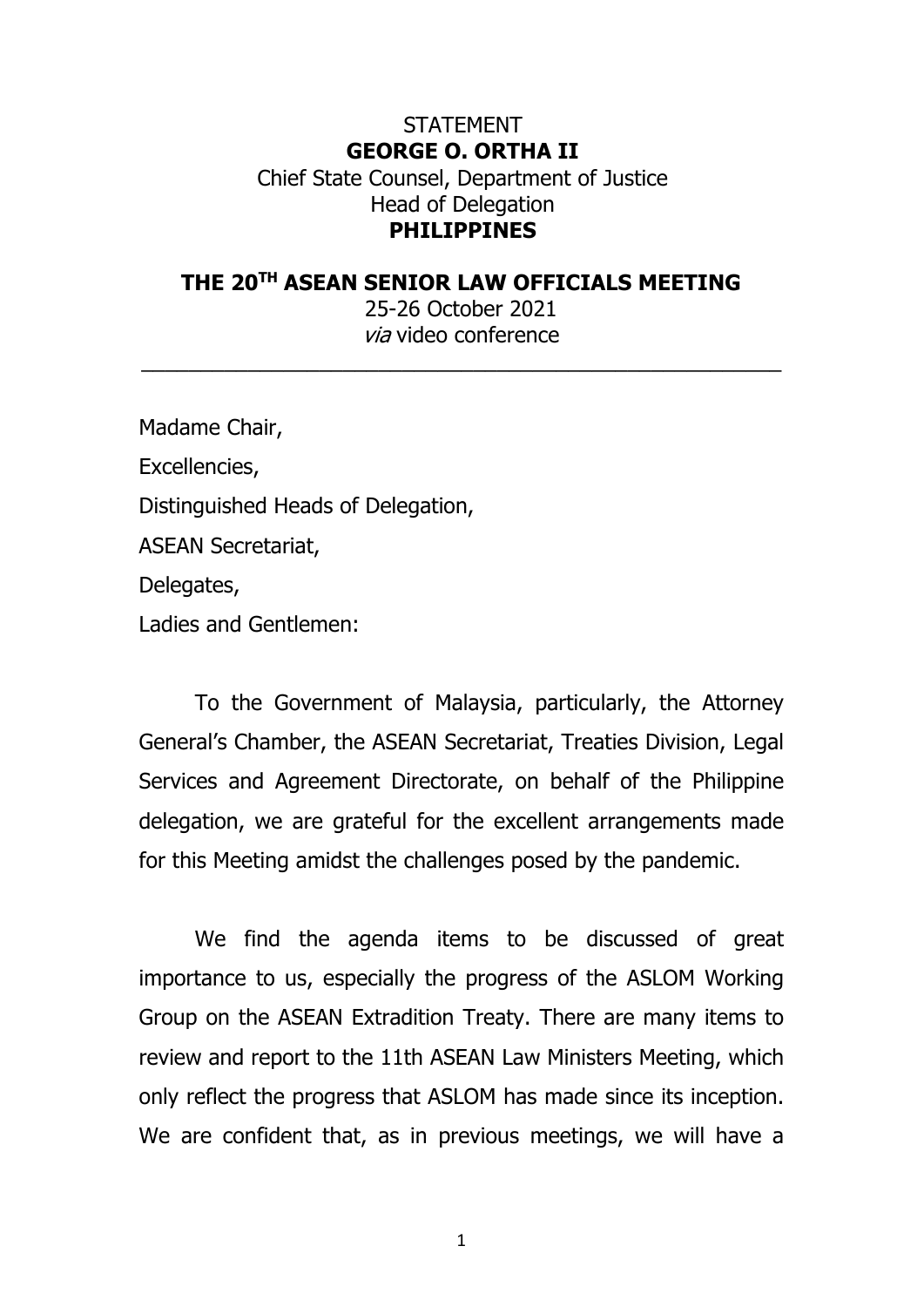## **STATEMENT GEORGE O. ORTHA II** Chief State Counsel, Department of Justice Head of Delegation **PHILIPPINES**

## **THE 20TH ASEAN SENIOR LAW OFFICIALS MEETING** 25-26 October 2021 via video conference

 $\_$  , and the set of the set of the set of the set of the set of the set of the set of the set of the set of the set of the set of the set of the set of the set of the set of the set of the set of the set of the set of th

Madame Chair, Excellencies, Distinguished Heads of Delegation, ASEAN Secretariat, Delegates, Ladies and Gentlemen:

To the Government of Malaysia, particularly, the Attorney General's Chamber, the ASEAN Secretariat, Treaties Division, Legal Services and Agreement Directorate, on behalf of the Philippine delegation, we are grateful for the excellent arrangements made for this Meeting amidst the challenges posed by the pandemic.

We find the agenda items to be discussed of great importance to us, especially the progress of the ASLOM Working Group on the ASEAN Extradition Treaty. There are many items to review and report to the 11th ASEAN Law Ministers Meeting, which only reflect the progress that ASLOM has made since its inception. We are confident that, as in previous meetings, we will have a

1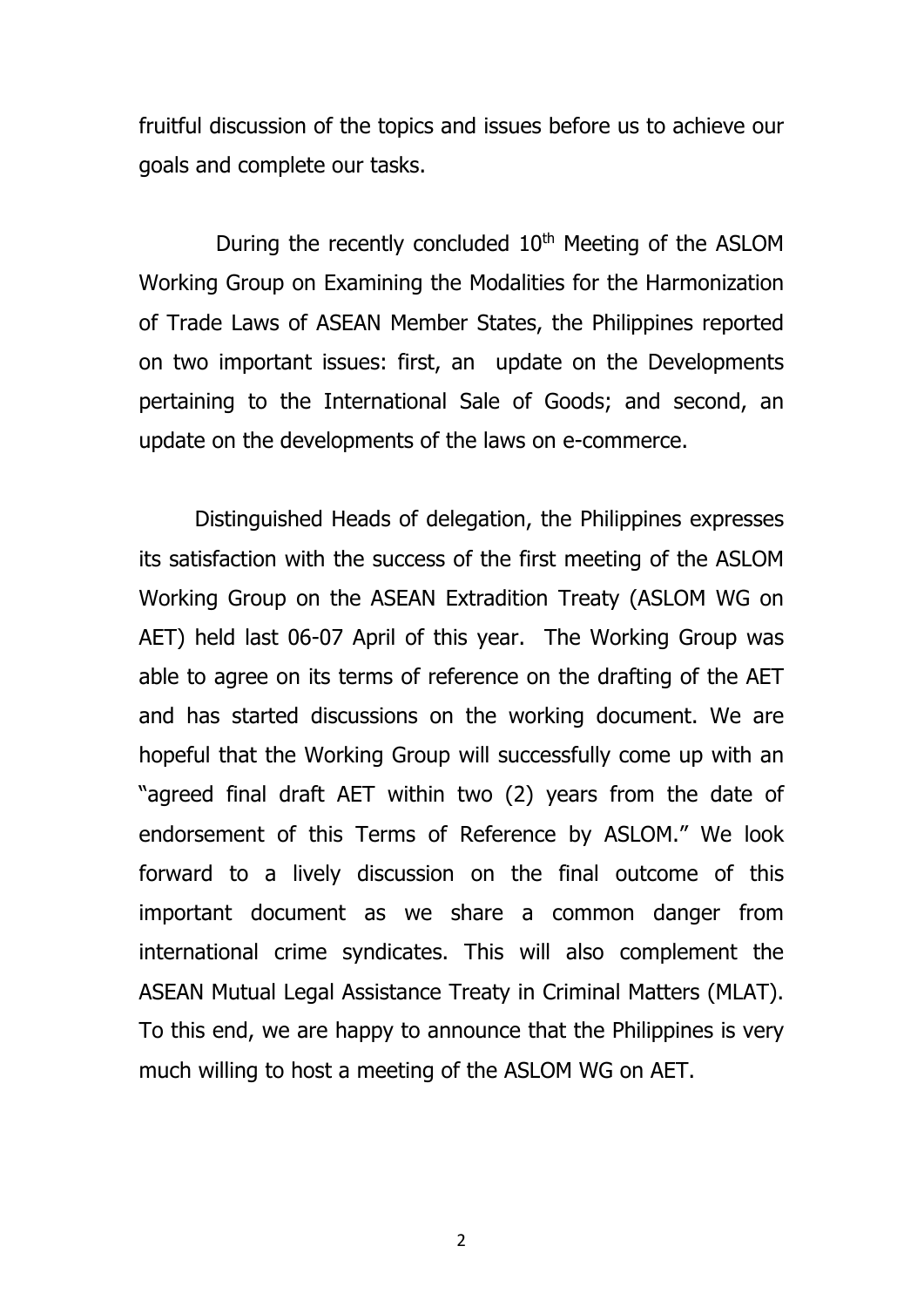fruitful discussion of the topics and issues before us to achieve our goals and complete our tasks.

During the recently concluded 10<sup>th</sup> Meeting of the ASLOM Working Group on Examining the Modalities for the Harmonization of Trade Laws of ASEAN Member States, the Philippines reported on two important issues: first, an update on the Developments pertaining to the International Sale of Goods; and second, an update on the developments of the laws on e-commerce.

Distinguished Heads of delegation, the Philippines expresses its satisfaction with the success of the first meeting of the ASLOM Working Group on the ASEAN Extradition Treaty (ASLOM WG on AET) held last 06-07 April of this year. The Working Group was able to agree on its terms of reference on the drafting of the AET and has started discussions on the working document. We are hopeful that the Working Group will successfully come up with an "agreed final draft AET within two (2) years from the date of endorsement of this Terms of Reference by ASLOM." We look forward to a lively discussion on the final outcome of this important document as we share a common danger from international crime syndicates. This will also complement the ASEAN Mutual Legal Assistance Treaty in Criminal Matters (MLAT). To this end, we are happy to announce that the Philippines is very much willing to host a meeting of the ASLOM WG on AET.

2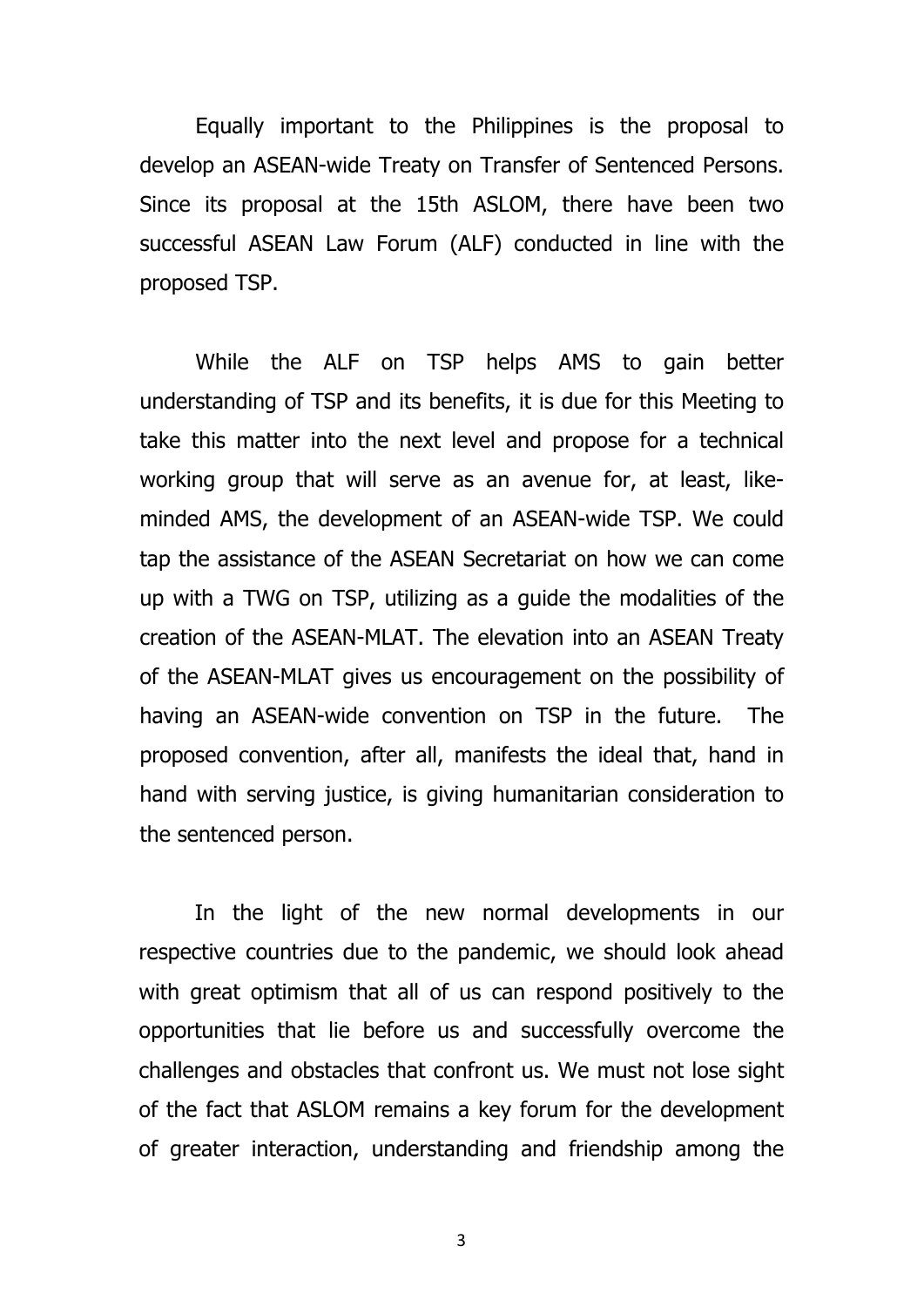Equally important to the Philippines is the proposal to develop an ASEAN-wide Treaty on Transfer of Sentenced Persons. Since its proposal at the 15th ASLOM, there have been two successful ASEAN Law Forum (ALF) conducted in line with the proposed TSP.

While the ALF on TSP helps AMS to gain better understanding of TSP and its benefits, it is due for this Meeting to take this matter into the next level and propose for a technical working group that will serve as an avenue for, at least, likeminded AMS, the development of an ASEAN-wide TSP. We could tap the assistance of the ASEAN Secretariat on how we can come up with a TWG on TSP, utilizing as a guide the modalities of the creation of the ASEAN-MLAT. The elevation into an ASEAN Treaty of the ASEAN-MLAT gives us encouragement on the possibility of having an ASEAN-wide convention on TSP in the future. The proposed convention, after all, manifests the ideal that, hand in hand with serving justice, is giving humanitarian consideration to the sentenced person.

In the light of the new normal developments in our respective countries due to the pandemic, we should look ahead with great optimism that all of us can respond positively to the opportunities that lie before us and successfully overcome the challenges and obstacles that confront us. We must not lose sight of the fact that ASLOM remains a key forum for the development of greater interaction, understanding and friendship among the

3